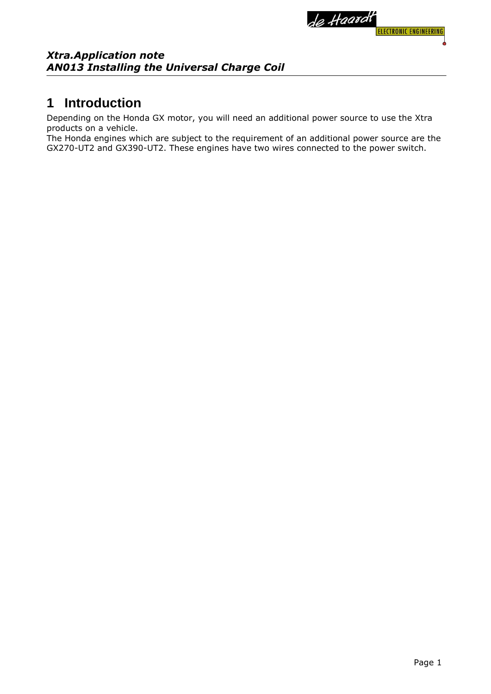

### **1 Introduction**

Depending on the Honda GX motor, you will need an additional power source to use the Xtra products on a vehicle.

The Honda engines which are subject to the requirement of an additional power source are the GX270-UT2 and GX390-UT2. These engines have two wires connected to the power switch.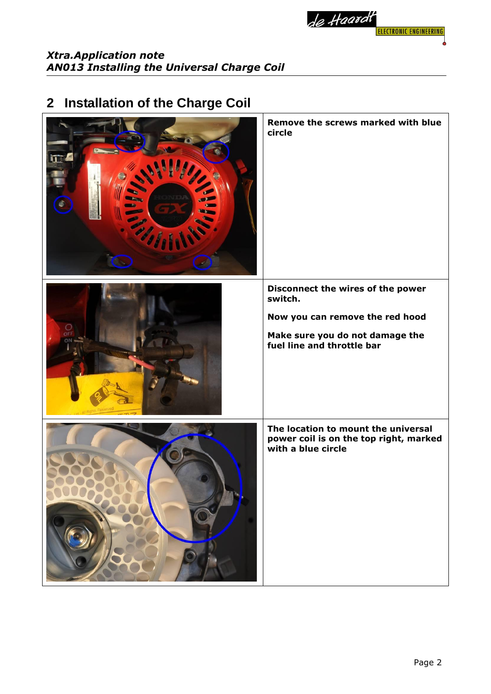

# **2 Installation of the Charge Coil**

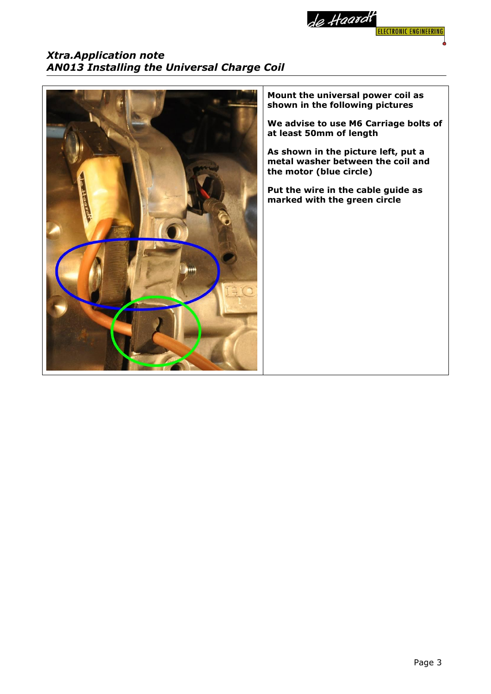



**Mount the universal power coil as shown in the following pictures**

**We advise to use M6 Carriage bolts of at least 50mm of length**

**As shown in the picture left, put a metal washer between the coil and the motor (blue circle)**

**Put the wire in the cable guide as marked with the green circle**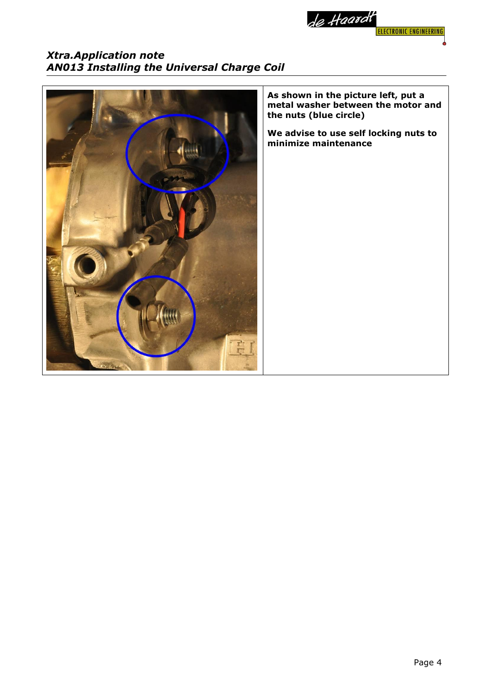

### *Xtra.Application note AN013 Installing the Universal Charge Coil*



**As shown in the picture left, put a metal washer between the motor and the nuts (blue circle)**

**We advise to use self locking nuts to minimize maintenance**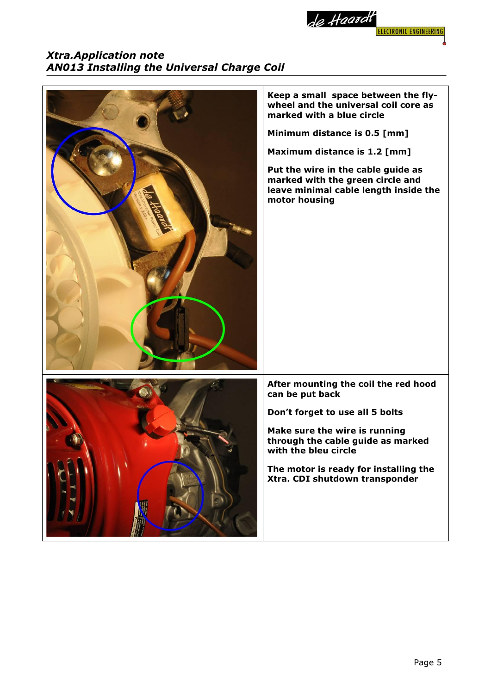